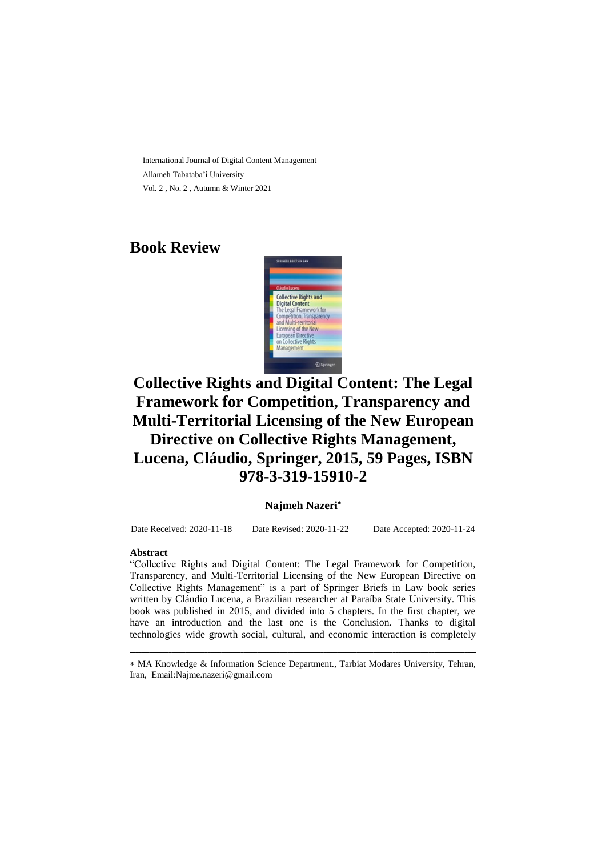International Journal of Digital Content Management Allameh Tabataba'i University Vol. 2 , No. 2 , Autumn & Winter 2021

## **Book Review**



# **Collective Rights and Digital Content: The Legal Framework for Competition, Transparency and Multi-Territorial Licensing of the New European Directive on Collective Rights Management, Lucena, Cláudio, Springer, 2015, 59 Pages, ISBN 978-3-319-15910-2**

#### **Najmeh Nazeri**

Date Received: 2020-11-18 Date Revised: 2020-11-22 Date Accepted: 2020-11-24

#### **Abstract**

"Collective Rights and Digital Content: The Legal Framework for Competition, Transparency, and Multi-Territorial Licensing of the New European Directive on Collective Rights Management" is a part of Springer Briefs in Law book series written by Cláudio Lucena, a Brazilian researcher at Paraíba State University. This book was published in 2015, and divided into 5 chapters. In the first chapter, we have an introduction and the last one is the Conclusion. Thanks to digital technologies wide growth social, cultural, and economic interaction is completely

ـــــــــــــــــــــــــــــــــــــــــــــــــــــــــــــــــــــــــــــــــــــــــــــــــــــــــــــــــــــــــــــ MA Knowledge & Information Science Department., Tarbiat Modares University, Tehran, Iran, Email[:Najme.nazeri@gmail.com](mailto:Najme.nazeri@gmail.com)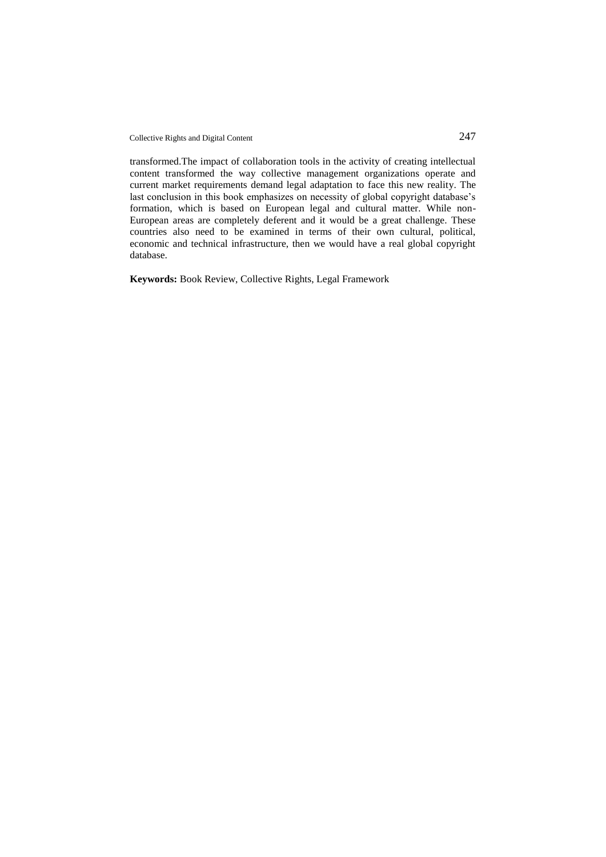Collective Rights and Digital Content 247

transformed.The impact of collaboration tools in the activity of creating intellectual content transformed the way collective management organizations operate and current market requirements demand legal adaptation to face this new reality. The last conclusion in this book emphasizes on necessity of global copyright database's formation, which is based on European legal and cultural matter. While non-European areas are completely deferent and it would be a great challenge. These countries also need to be examined in terms of their own cultural, political, economic and technical infrastructure, then we would have a real global copyright database.

**Keywords:** Book Review, Collective Rights, Legal Framework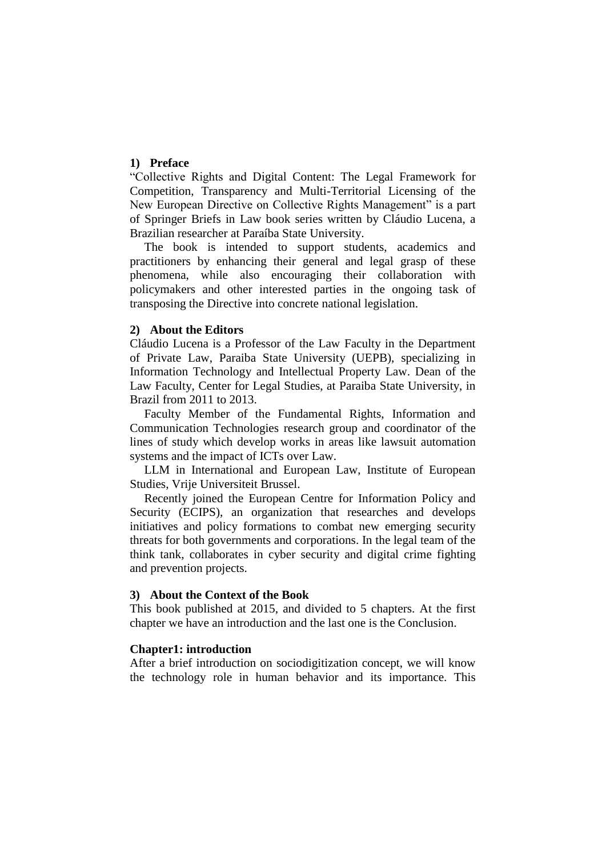## **1) Preface**

"Collective Rights and Digital Content: The Legal Framework for Competition, Transparency and Multi-Territorial Licensing of the New European Directive on Collective Rights Management" is a part of Springer Briefs in Law book series written by Cláudio Lucena, a Brazilian researcher at Paraíba State University.

The book is intended to support students, academics and practitioners by enhancing their general and legal grasp of these phenomena, while also encouraging their collaboration with policymakers and other interested parties in the ongoing task of transposing the Directive into concrete national legislation.

## **2) About the Editors**

Cláudio Lucena is a Professor of the Law Faculty in the Department of Private Law, Paraiba State University (UEPB), specializing in Information Technology and Intellectual Property Law. Dean of the Law Faculty, Center for Legal Studies, at Paraiba State University, in Brazil from 2011 to 2013.

Faculty Member of the Fundamental Rights, Information and Communication Technologies research group and coordinator of the lines of study which develop works in areas like lawsuit automation systems and the impact of ICTs over Law.

LLM in International and European Law, Institute of European Studies, Vrije Universiteit Brussel.

Recently joined the European Centre for Information Policy and Security (ECIPS), an organization that researches and develops initiatives and policy formations to combat new emerging security threats for both governments and corporations. In the legal team of the think tank, collaborates in cyber security and digital crime fighting and prevention projects.

## **3) About the Context of the Book**

This book published at 2015, and divided to 5 chapters. At the first chapter we have an introduction and the last one is the Conclusion.

#### **Chapter1: introduction**

After a brief introduction on sociodigitization concept, we will know the technology role in human behavior and its importance. This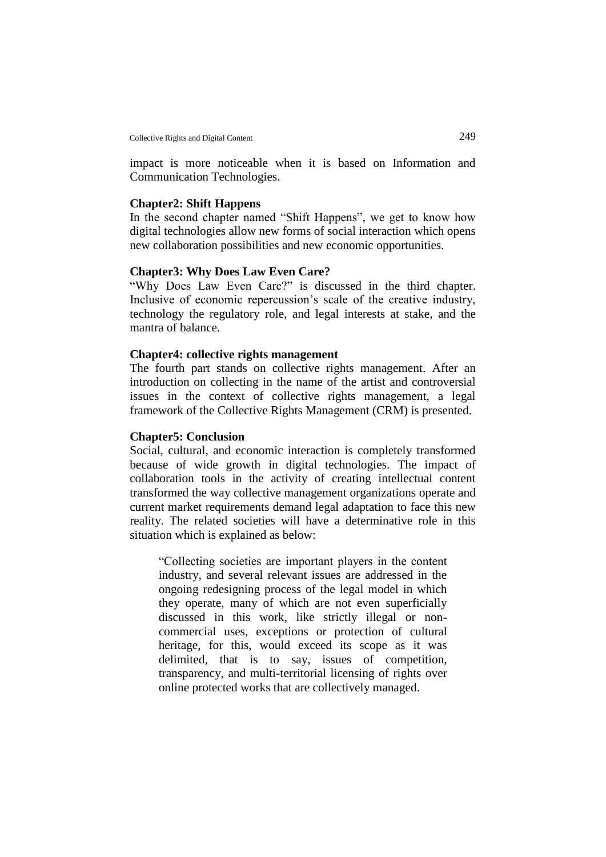impact is more noticeable when it is based on Information and Communication Technologies.

#### **Chapter2: Shift Happens**

In the second chapter named "Shift Happens", we get to know how digital technologies allow new forms of social interaction which opens new collaboration possibilities and new economic opportunities.

## **Chapter3: Why Does Law Even Care?**

"Why Does Law Even Care?" is discussed in the third chapter. Inclusive of economic repercussion's scale of the creative industry, technology the regulatory role, and legal interests at stake, and the mantra of balance.

### **Chapter4: collective rights management**

The fourth part stands on collective rights management. After an introduction on collecting in the name of the artist and controversial issues in the context of collective rights management, a legal framework of the Collective Rights Management (CRM) is presented.

#### **Chapter5: Conclusion**

Social, cultural, and economic interaction is completely transformed because of wide growth in digital technologies. The impact of collaboration tools in the activity of creating intellectual content transformed the way collective management organizations operate and current market requirements demand legal adaptation to face this new reality. The related societies will have a determinative role in this situation which is explained as below:

"Collecting societies are important players in the content industry, and several relevant issues are addressed in the ongoing redesigning process of the legal model in which they operate, many of which are not even superficially discussed in this work, like strictly illegal or noncommercial uses, exceptions or protection of cultural heritage, for this, would exceed its scope as it was delimited, that is to say, issues of competition, transparency, and multi-territorial licensing of rights over online protected works that are collectively managed.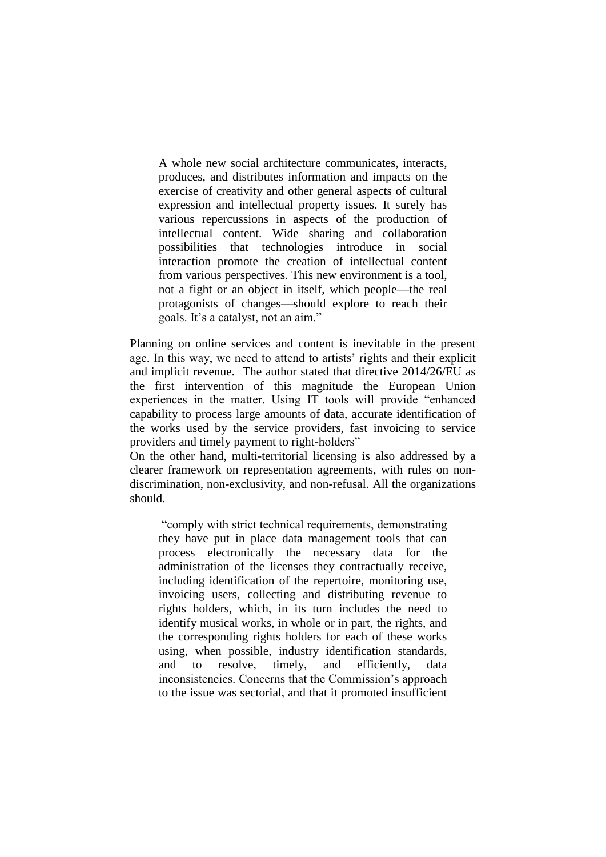A whole new social architecture communicates, interacts, produces, and distributes information and impacts on the exercise of creativity and other general aspects of cultural expression and intellectual property issues. It surely has various repercussions in aspects of the production of intellectual content. Wide sharing and collaboration possibilities that technologies introduce in social interaction promote the creation of intellectual content from various perspectives. This new environment is a tool, not a fight or an object in itself, which people—the real protagonists of changes—should explore to reach their goals. It's a catalyst, not an aim."

Planning on online services and content is inevitable in the present age. In this way, we need to attend to artists' rights and their explicit and implicit revenue. The author stated that directive 2014/26/EU as the first intervention of this magnitude the European Union experiences in the matter. Using IT tools will provide "enhanced capability to process large amounts of data, accurate identification of the works used by the service providers, fast invoicing to service providers and timely payment to right-holders"

On the other hand, multi-territorial licensing is also addressed by a clearer framework on representation agreements, with rules on nondiscrimination, non-exclusivity, and non-refusal. All the organizations should.

"comply with strict technical requirements, demonstrating they have put in place data management tools that can process electronically the necessary data for the administration of the licenses they contractually receive, including identification of the repertoire, monitoring use, invoicing users, collecting and distributing revenue to rights holders, which, in its turn includes the need to identify musical works, in whole or in part, the rights, and the corresponding rights holders for each of these works using, when possible, industry identification standards, and to resolve, timely, and efficiently, data inconsistencies. Concerns that the Commission's approach to the issue was sectorial, and that it promoted insufficient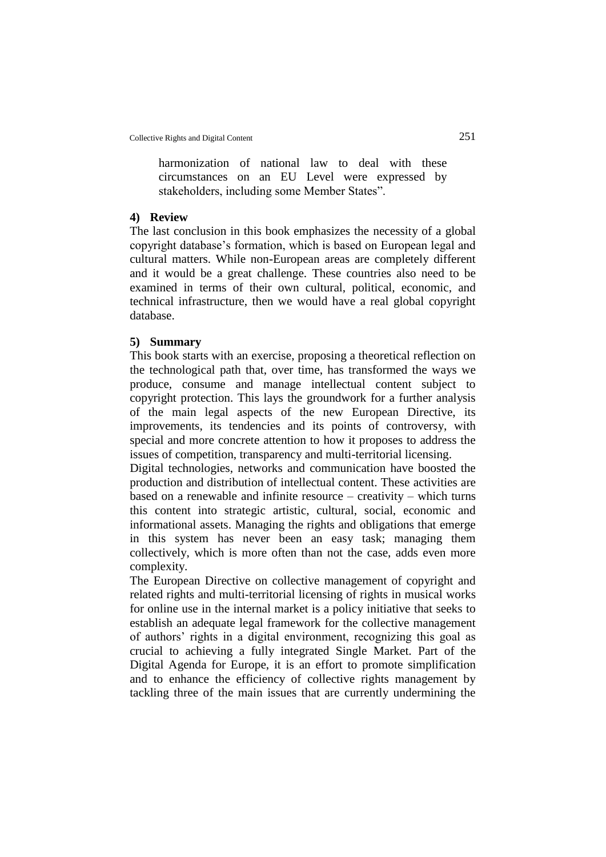harmonization of national law to deal with these circumstances on an EU Level were expressed by stakeholders, including some Member States".

## **4) Review**

The last conclusion in this book emphasizes the necessity of a global copyright database's formation, which is based on European legal and cultural matters. While non-European areas are completely different and it would be a great challenge. These countries also need to be examined in terms of their own cultural, political, economic, and technical infrastructure, then we would have a real global copyright database.

### **5) Summary**

This book starts with an exercise, proposing a theoretical reflection on the technological path that, over time, has transformed the ways we produce, consume and manage intellectual content subject to copyright protection. This lays the groundwork for a further analysis of the main legal aspects of the new European Directive, its improvements, its tendencies and its points of controversy, with special and more concrete attention to how it proposes to address the issues of competition, transparency and multi-territorial licensing.

Digital technologies, networks and communication have boosted the production and distribution of intellectual content. These activities are based on a renewable and infinite resource – creativity – which turns this content into strategic artistic, cultural, social, economic and informational assets. Managing the rights and obligations that emerge in this system has never been an easy task; managing them collectively, which is more often than not the case, adds even more complexity.

The European Directive on collective management of copyright and related rights and multi-territorial licensing of rights in musical works for online use in the internal market is a policy initiative that seeks to establish an adequate legal framework for the collective management of authors' rights in a digital environment, recognizing this goal as crucial to achieving a fully integrated Single Market. Part of the Digital Agenda for Europe, it is an effort to promote simplification and to enhance the efficiency of collective rights management by tackling three of the main issues that are currently undermining the